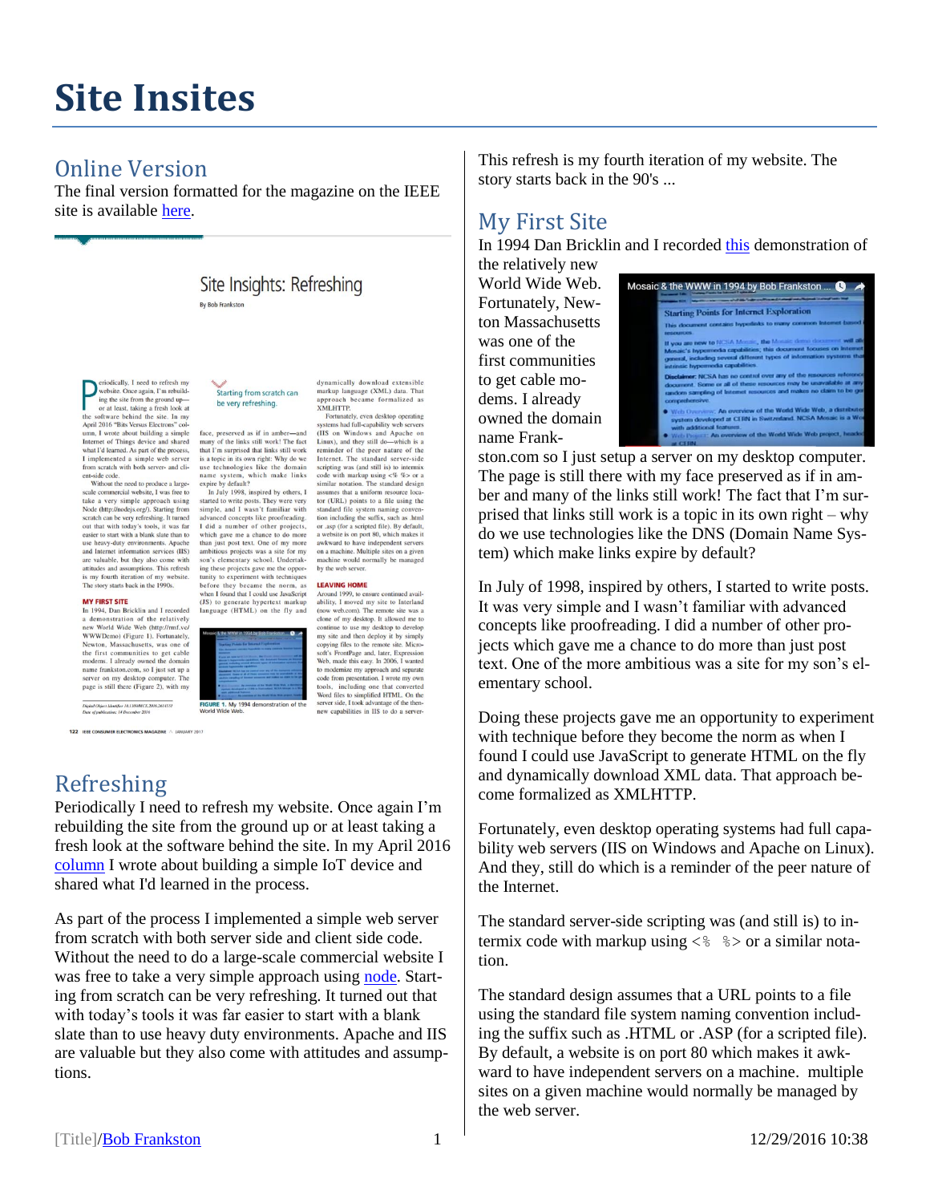# **Site Insites**

## Online Version

The final version formatted for the magazine on the IEEE site is available [here.](http://ieeexplore.ieee.org/stamp/stamp.jsp?tp=&arnumber=7786837)

## Site Insights: Refreshing

eriodically, I need to refresh my website. Once again. I'm rebuildwebsite. Once again, I'm rebuild<br>not all the software the ground up-<br>or at least, taking a fresh look at<br>the software behind the size. In my<br>pump and April 2016 "Bits Versus Electrons" col-<br>num, I wrote about building a si I implemented a simple web server from scratch with both server- and client-side code

Without the need to produce a largewhole meet to produce a large-<br>scale commercial website, I was free to<br>take a very simple approach using<br>Node (http://nodejs.org/). Starting from<br>scratch can be very refreshing. It turned out that with today's tools, it was far easier to start with a blank slate than to use heavy-duty environments. Apach and Internet information services (IIS) are valuable, but they also come with attitudes and assumptions. This rest is my fourth iteration of my we<br>The story starts back in the 1990s. ns. This refresh

#### **MY FIRST SITE**

In 1994, Dan Bricklin and I recorded a demonstration of the relatively<br>new World Wide Web (http://rmf.vc/ new World Wide Web (http://mnl.v.et/<br>wWWDemo) (Figure 1). Fortunately,<br>Newton, Massachusetts, was one of<br>the first communities to get cable<br>modems. 1 aircady owned the domain<br>manne frankston.com, so I just set up a<br>server

.<br>Digital Object Identifier 10,1109/MCE,2016.2614551<br>Date of publication: 14 December 2016

122 IEEE CONSUMER ELECTRONICS MAGAZINE A JANUARY 2017

## Refreshing

dynamically download extensible Starting from scratch can markup language (XML) data. That appro be very refreshing. **XMLHTTP** 

face, preserved as if in amber—and<br>many of the links still work! The fact<br>that I'm surprised that links still work<br>is a topic in its own right: Why do we use technologies like the domain name system, which make links expire by default?

In July 1998, inspired by others, I In July 1998, inspired by others, 1<br>started to write posts. They were very<br>simple, and I wasn't familiar with<br>advanced concepts like proofreading.<br>I did a number of other projects, which gave me a chance to do more than just post text. One of my more ambitious projects was a site for my son's elementary school. Undertakson's elementary school. Undertak-<br>ing these projects gave me the oppor-<br>tunity to experiment with techniques<br>before they became the norm, as<br>when I found that I could us JavaScript<br>(JS) to generate hypertext markup<br>langua

FIGURE 1. My 1994 de

**LEAVING HOME** Around 1999, to ensure continued availability, I moved my site to Interland (now web.com). The remote site was a clone of my desktop. It allowed me to clone of my desktop. It allowed me to<br>cominue to use my desktop to develop<br>my site and then deploy it by simply<br>ropying files to the remote site. Micro-<br>softy's FindFage and, later, Expression<br>Web, made this easy. In 2006, Word files to simplified HTML. On the server side, I took advantage of the thennew capabilities in IIS to do a server

ch became formalized as

..<br>itely .even deskton operating

Fortunately, even desktop operating<br>systems had full-capability web servers<br>(IIS on Windows and Apache on<br>Linux), and they still do—which is a<br>reminder of the peer nature of the

Internet. The standard server-side

scripting was (and still is) to intermix<br>code with markup using  $\ll$  %> or a

similar notation. The standard design

assumes that a uniform resource foca-<br>tor (URL) points to a file using the<br>standard file system naming conven-<br>tion including the suffix, such as .html

or .asp (for a scripted file). By default,

a website is on port 80, which makes it

awkward to have independent servers

on a machine. Multiple sites on a given

machine would normally be ma-

by the web serve

es that a uniform resource los

 $E_{0}$ 

This refresh is my fourth iteration of my website. The story starts back in the 90's ...

## My First Site

In 1994 Dan Bricklin and I recorded [this](http://rmf.vc/WWWDemo) demonstration of

the relatively new World Wide Web. Fortunately, Newton Massachusetts was one of the first communities to get cable modems. I already owned the domain name Frank-



ston.com so I just setup a server on my desktop computer. The page is still there with my face preserved as if in amber and many of the links still work! The fact that I'm surprised that links still work is a topic in its own right – why do we use technologies like the DNS (Domain Name System) which make links expire by default?

In July of 1998, inspired by others, I started to write posts. It was very simple and I wasn't familiar with advanced concepts like proofreading. I did a number of other projects which gave me a chance to do more than just post text. One of the more ambitious was a site for my son's elementary school.

Doing these projects gave me an opportunity to experiment with technique before they become the norm as when I found I could use JavaScript to generate HTML on the fly and dynamically download XML data. That approach become formalized as XMLHTTP.

Fortunately, even desktop operating systems had full capability web servers (IIS on Windows and Apache on Linux). And they, still do which is a reminder of the peer nature of the Internet.

The standard server-side scripting was (and still is) to intermix code with markup using  $\langle \xi \rangle$   $\langle \xi \rangle$  or a similar notation.

The standard design assumes that a URL points to a file using the standard file system naming convention including the suffix such as .HTML or .ASP (for a scripted file). By default, a website is on port 80 which makes it awkward to have independent servers on a machine. multiple sites on a given machine would normally be managed by the web server.

Periodically I need to refresh my website. Once again I'm rebuilding the site from the ground up or at least taking a fresh look at the software behind the site. In my April 2016 [column](http://rmf.vc/IEEEBlinky) I wrote about building a simple IoT device and shared what I'd learned in the process.

As part of the process I implemented a simple web server from scratch with both server side and client side code. Without the need to do a large-scale commercial website I was free to take a very simple approach usin[g node.](http://nodejs.org/) Starting from scratch can be very refreshing. It turned out that with today's tools it was far easier to start with a blank slate than to use heavy duty environments. Apache and IIS are valuable but they also come with attitudes and assumptions.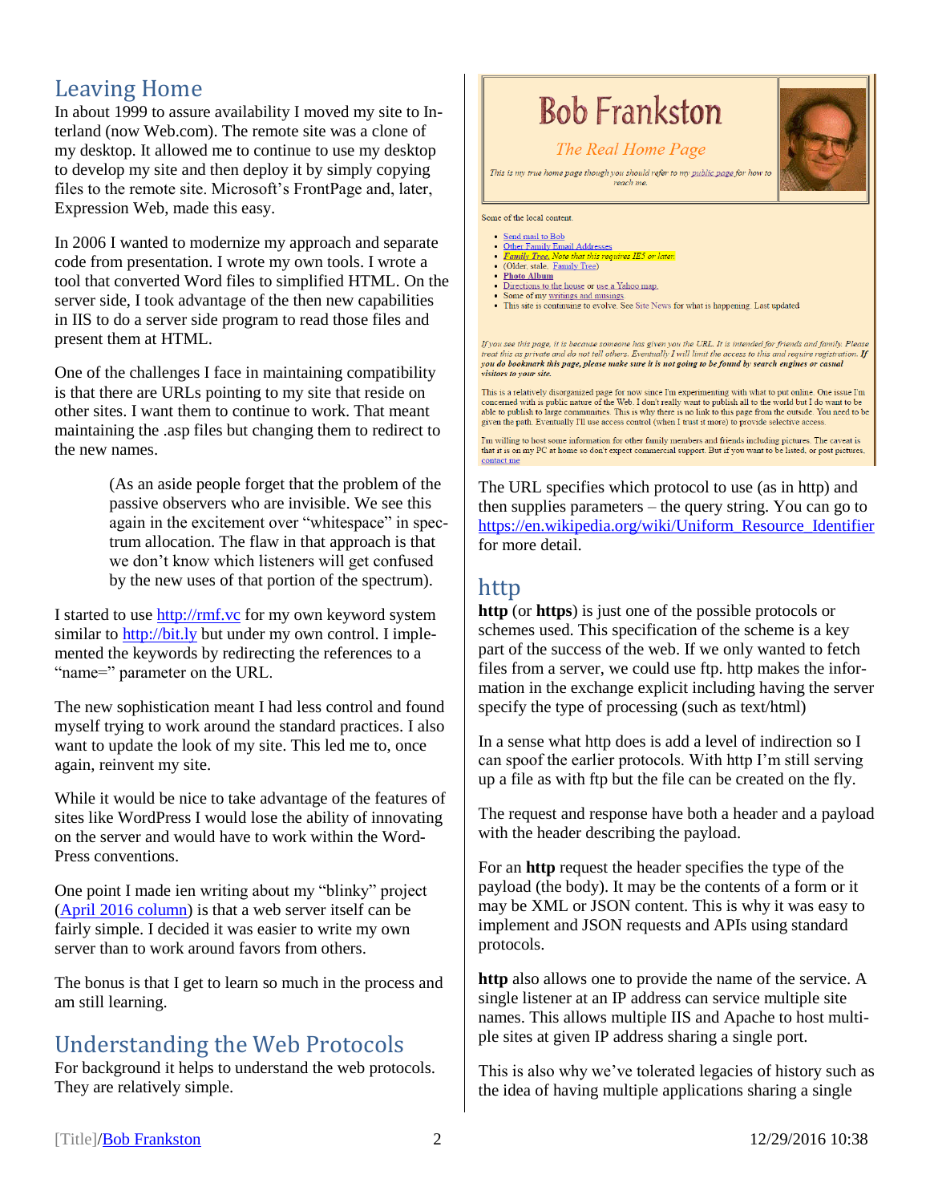## Leaving Home

In about 1999 to assure availability I moved my site to Interland (now Web.com). The remote site was a clone of my desktop. It allowed me to continue to use my desktop to develop my site and then deploy it by simply copying files to the remote site. Microsoft's FrontPage and, later, Expression Web, made this easy.

In 2006 I wanted to modernize my approach and separate code from presentation. I wrote my own tools. I wrote a tool that converted Word files to simplified HTML. On the server side, I took advantage of the then new capabilities in IIS to do a server side program to read those files and present them at HTML.

One of the challenges I face in maintaining compatibility is that there are URLs pointing to my site that reside on other sites. I want them to continue to work. That meant maintaining the .asp files but changing them to redirect to the new names.

> (As an aside people forget that the problem of the passive observers who are invisible. We see this again in the excitement over "whitespace" in spectrum allocation. The flaw in that approach is that we don't know which listeners will get confused by the new uses of that portion of the spectrum).

I started to use [http://rmf.vc](http://rmf.vc/) for my own keyword system similar to [http://bit.ly](http://bit.ly/) but under my own control. I implemented the keywords by redirecting the references to a "name=" parameter on the URL.

The new sophistication meant I had less control and found myself trying to work around the standard practices. I also want to update the look of my site. This led me to, once again, reinvent my site.

While it would be nice to take advantage of the features of sites like WordPress I would lose the ability of innovating on the server and would have to work within the Word-Press conventions.

One point I made ien writing about my "blinky" project [\(April 2016 column\)](http://rmf.vc/IEEEBlinky) is that a web server itself can be fairly simple. I decided it was easier to write my own server than to work around favors from others.

The bonus is that I get to learn so much in the process and am still learning.

## Understanding the Web Protocols

For background it helps to understand the web protocols. They are relatively simple.

## **Bob Frankston**

#### The Real Home Page

This is my true home page though you should refer to my public page for how to roach mo

Some of the local content

- <u>Send mail to Bob</u> Other Family Email Addresses
- es IE5 or late
- *Family Tree. Note that this*<br>• (Older, stale, Family Tree)
- Photo Album
- Directions to the house or use a Yahoo map.
- Some of my <u>writings and musings</u>.<br>• This site is continuing to evolve. See Site News for what is happening. Last updated<br>• This site is continuing to evolve. See Site News for what is happening. Last updated

If you see this page, it is because someone has given you the URL. It is intended for friends and family. Please<br>treat this as private and do not tell others. Eventually I will limit the access to this and require registra you do bookmark this page, please make sure it is not going to be found by search engines or casual *visitors to your site.* 

This is a relatively disorganized page for now since I'm experimenting with what to put online. One issue I'm concerned with is public nature of the Web. I don't really want to publish all to the world but I do want to be able to publish to large communities. This is why there is no link to this page from the outside. You need to be given the path. Eventually I'll use access control (when I trust it more) to provide selective access.

I'm willing to host some information for other family members and friends including pictures. The caveat is that it is on my PC at home so don't expect commercial support. But if you want to be listed, or post pictures, contact me

The URL specifies which protocol to use (as in http) and then supplies parameters – the query string. You can go to [https://en.wikipedia.org/wiki/Uniform\\_Resource\\_Identifier](https://en.wikipedia.org/wiki/Uniform_Resource_Identifier) for more detail.

## http

**http** (or **https**) is just one of the possible protocols or schemes used. This specification of the scheme is a key part of the success of the web. If we only wanted to fetch files from a server, we could use ftp. http makes the information in the exchange explicit including having the server specify the type of processing (such as text/html)

In a sense what http does is add a level of indirection so I can spoof the earlier protocols. With http I'm still serving up a file as with ftp but the file can be created on the fly.

The request and response have both a header and a payload with the header describing the payload.

For an **http** request the header specifies the type of the payload (the body). It may be the contents of a form or it may be XML or JSON content. This is why it was easy to implement and JSON requests and APIs using standard protocols.

**http** also allows one to provide the name of the service. A single listener at an IP address can service multiple site names. This allows multiple IIS and Apache to host multiple sites at given IP address sharing a single port.

This is also why we've tolerated legacies of history such as the idea of having multiple applications sharing a single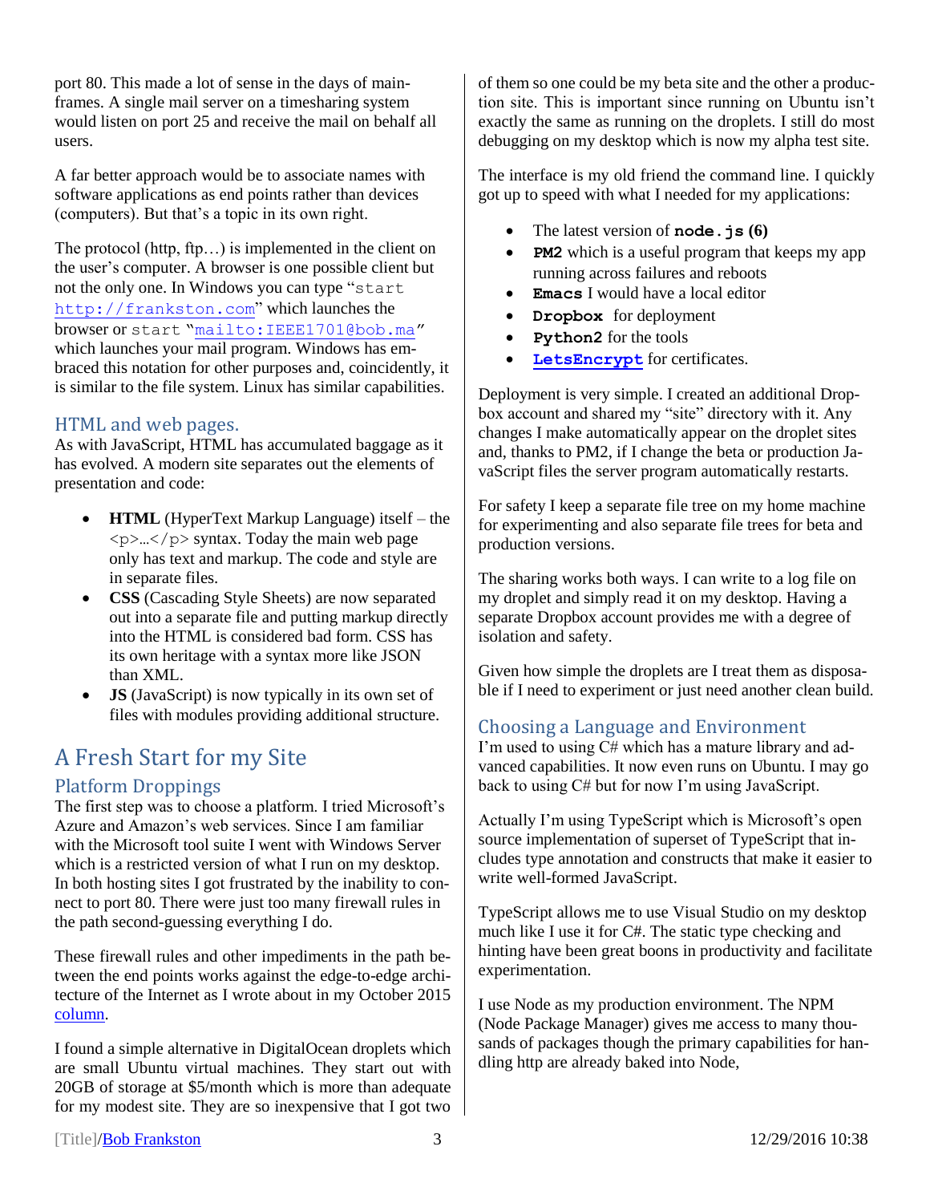port 80. This made a lot of sense in the days of mainframes. A single mail server on a timesharing system would listen on port 25 and receive the mail on behalf all users.

A far better approach would be to associate names with software applications as end points rather than devices (computers). But that's a topic in its own right.

The protocol (http, ftp…) is implemented in the client on the user's computer. A browser is one possible client but not the only one. In Windows you can type "start [http://frankston.com](http://frankston.com/)" which launches the browser or start "<mailto:IEEE1701@bob.ma>" which launches your mail program. Windows has embraced this notation for other purposes and, coincidently, it is similar to the file system. Linux has similar capabilities.

#### HTML and web pages.

As with JavaScript, HTML has accumulated baggage as it has evolved. A modern site separates out the elements of presentation and code:

- **HTML** (HyperText Markup Language) itself the  $\langle p \rangle$ ... $\langle p \rangle$  syntax. Today the main web page only has text and markup. The code and style are in separate files.
- **CSS** (Cascading Style Sheets) are now separated out into a separate file and putting markup directly into the HTML is considered bad form. CSS has its own heritage with a syntax more like JSON than XML.
- **JS** (JavaScript) is now typically in its own set of files with modules providing additional structure.

## A Fresh Start for my Site

### Platform Droppings

The first step was to choose a platform. I tried Microsoft's Azure and Amazon's web services. Since I am familiar with the Microsoft tool suite I went with Windows Server which is a restricted version of what I run on my desktop. In both hosting sites I got frustrated by the inability to connect to port 80. There were just too many firewall rules in the path second-guessing everything I do.

These firewall rules and other impediments in the path between the end points works against the edge-to-edge architecture of the Internet as I wrote about in my October 2015 [column.](http://rmf.vc/ieeerelationships)

I found a simple alternative in DigitalOcean droplets which are small Ubuntu virtual machines. They start out with 20GB of storage at \$5/month which is more than adequate for my modest site. They are so inexpensive that I got two of them so one could be my beta site and the other a production site. This is important since running on Ubuntu isn't exactly the same as running on the droplets. I still do most debugging on my desktop which is now my alpha test site.

The interface is my old friend the command line. I quickly got up to speed with what I needed for my applications:

- The latest version of **node.js (6)**
- **PM2** which is a useful program that keeps my app running across failures and reboots
- **Emacs** I would have a local editor
- **Dropbox** for deployment
- **Python2** for the tools
- **[LetsEncrypt](https://letsencrypt.org/)** for certificates.

Deployment is very simple. I created an additional Dropbox account and shared my "site" directory with it. Any changes I make automatically appear on the droplet sites and, thanks to PM2, if I change the beta or production JavaScript files the server program automatically restarts.

For safety I keep a separate file tree on my home machine for experimenting and also separate file trees for beta and production versions.

The sharing works both ways. I can write to a log file on my droplet and simply read it on my desktop. Having a separate Dropbox account provides me with a degree of isolation and safety.

Given how simple the droplets are I treat them as disposable if I need to experiment or just need another clean build.

#### Choosing a Language and Environment

I'm used to using C# which has a mature library and advanced capabilities. It now even runs on Ubuntu. I may go back to using C# but for now I'm using JavaScript.

Actually I'm using TypeScript which is Microsoft's open source implementation of superset of TypeScript that includes type annotation and constructs that make it easier to write well-formed JavaScript.

TypeScript allows me to use Visual Studio on my desktop much like I use it for C#. The static type checking and hinting have been great boons in productivity and facilitate experimentation.

I use Node as my production environment. The NPM (Node Package Manager) gives me access to many thousands of packages though the primary capabilities for handling http are already baked into Node,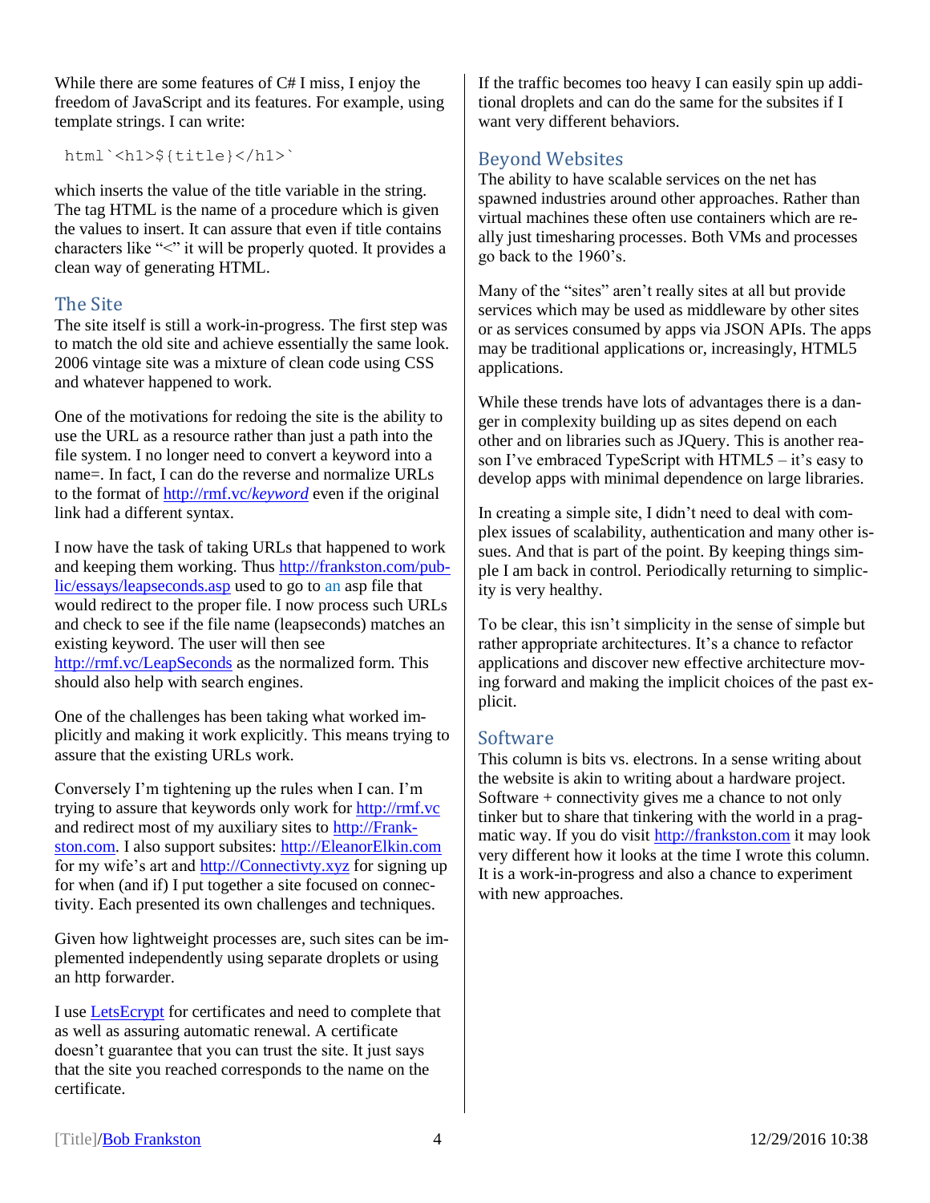While there are some features of C# I miss, I enjoy the freedom of JavaScript and its features. For example, using template strings. I can write:

html`<h1>\${title}</h1>`

which inserts the value of the title variable in the string. The tag HTML is the name of a procedure which is given the values to insert. It can assure that even if title contains characters like "<" it will be properly quoted. It provides a clean way of generating HTML.

#### The Site

The site itself is still a work-in-progress. The first step was to match the old site and achieve essentially the same look. 2006 vintage site was a mixture of clean code using CSS and whatever happened to work.

One of the motivations for redoing the site is the ability to use the URL as a resource rather than just a path into the file system. I no longer need to convert a keyword into a name=. In fact, I can do the reverse and normalize URLs to the format of [http://rmf.vc/](http://rmf.vc/keyword)*keyword* even if the original link had a different syntax.

I now have the task of taking URLs that happened to work and keeping them working. Thus [http://frankston.com/pub](http://frankston.com/public/essays/leapseconds.asp)[lic/essays/leapseconds.asp](http://frankston.com/public/essays/leapseconds.asp) used to go to an asp file that would redirect to the proper file. I now process such URLs and check to see if the file name (leapseconds) matches an existing keyword. The user will then see <http://rmf.vc/LeapSeconds> as the normalized form. This should also help with search engines.

One of the challenges has been taking what worked implicitly and making it work explicitly. This means trying to assure that the existing URLs work.

Conversely I'm tightening up the rules when I can. I'm trying to assure that keywords only work for [http://rmf.vc](http://rmf.vc/) and redirect most of my auxiliary sites to [http://Frank](http://frankston.com/)[ston.com.](http://frankston.com/) I also support subsites: [http://EleanorElkin.com](http://eleanorelkin.com/) for my wife's art and [http://Connectivty.xyz](http://connectivty.xyz/) for signing up for when (and if) I put together a site focused on connectivity. Each presented its own challenges and techniques.

Given how lightweight processes are, such sites can be implemented independently using separate droplets or using an http forwarder.

I use [LetsEcrypt](https://letsencrypt.org/) for certificates and need to complete that as well as assuring automatic renewal. A certificate doesn't guarantee that you can trust the site. It just says that the site you reached corresponds to the name on the certificate.

If the traffic becomes too heavy I can easily spin up additional droplets and can do the same for the subsites if I want very different behaviors.

### Beyond Websites

The ability to have scalable services on the net has spawned industries around other approaches. Rather than virtual machines these often use containers which are really just timesharing processes. Both VMs and processes go back to the 1960's.

Many of the "sites" aren't really sites at all but provide services which may be used as middleware by other sites or as services consumed by apps via JSON APIs. The apps may be traditional applications or, increasingly, HTML5 applications.

While these trends have lots of advantages there is a danger in complexity building up as sites depend on each other and on libraries such as JQuery. This is another reason I've embraced TypeScript with HTML5 – it's easy to develop apps with minimal dependence on large libraries.

In creating a simple site, I didn't need to deal with complex issues of scalability, authentication and many other issues. And that is part of the point. By keeping things simple I am back in control. Periodically returning to simplicity is very healthy.

To be clear, this isn't simplicity in the sense of simple but rather appropriate architectures. It's a chance to refactor applications and discover new effective architecture moving forward and making the implicit choices of the past explicit.

#### Software

This column is bits vs. electrons. In a sense writing about the website is akin to writing about a hardware project. Software + connectivity gives me a chance to not only tinker but to share that tinkering with the world in a pragmatic way. If you do visit [http://frankston.com](http://frankston.com/) it may look very different how it looks at the time I wrote this column. It is a work-in-progress and also a chance to experiment with new approaches.